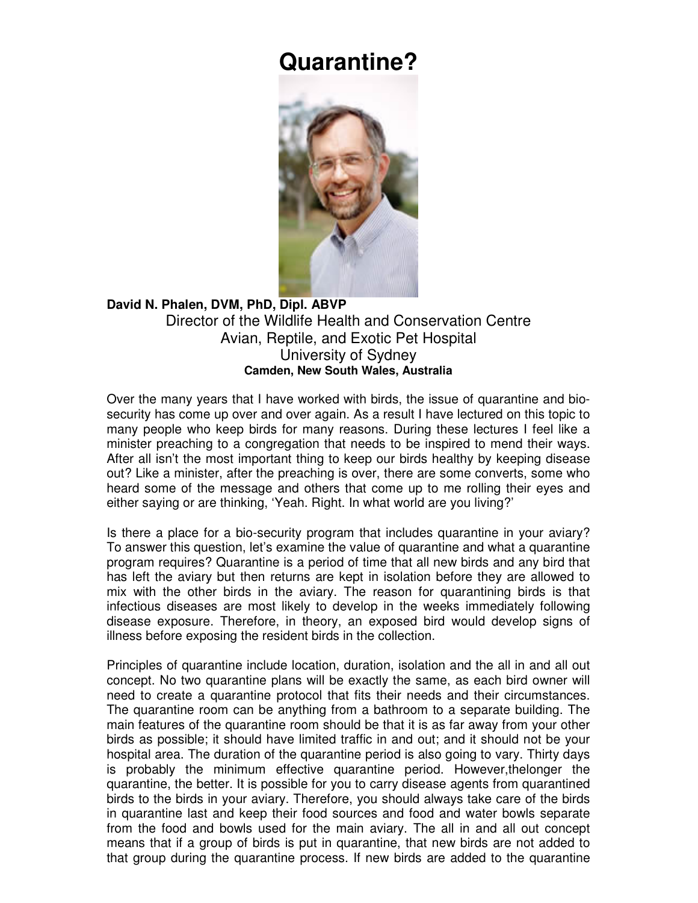## **Quarantine?**



## **David N. Phalen, DVM, PhD, Dipl. ABVP**  Director of the Wildlife Health and Conservation Centre Avian, Reptile, and Exotic Pet Hospital University of Sydney **Camden, New South Wales, Australia**

Over the many years that I have worked with birds, the issue of quarantine and biosecurity has come up over and over again. As a result I have lectured on this topic to many people who keep birds for many reasons. During these lectures I feel like a minister preaching to a congregation that needs to be inspired to mend their ways. After all isn't the most important thing to keep our birds healthy by keeping disease out? Like a minister, after the preaching is over, there are some converts, some who heard some of the message and others that come up to me rolling their eyes and either saying or are thinking, 'Yeah. Right. In what world are you living?'

Is there a place for a bio-security program that includes quarantine in your aviary? To answer this question, let's examine the value of quarantine and what a quarantine program requires? Quarantine is a period of time that all new birds and any bird that has left the aviary but then returns are kept in isolation before they are allowed to mix with the other birds in the aviary. The reason for quarantining birds is that infectious diseases are most likely to develop in the weeks immediately following disease exposure. Therefore, in theory, an exposed bird would develop signs of illness before exposing the resident birds in the collection.

Principles of quarantine include location, duration, isolation and the all in and all out concept. No two quarantine plans will be exactly the same, as each bird owner will need to create a quarantine protocol that fits their needs and their circumstances. The quarantine room can be anything from a bathroom to a separate building. The main features of the quarantine room should be that it is as far away from your other birds as possible; it should have limited traffic in and out; and it should not be your hospital area. The duration of the quarantine period is also going to vary. Thirty days is probably the minimum effective quarantine period. However,thelonger the quarantine, the better. It is possible for you to carry disease agents from quarantined birds to the birds in your aviary. Therefore, you should always take care of the birds in quarantine last and keep their food sources and food and water bowls separate from the food and bowls used for the main aviary. The all in and all out concept means that if a group of birds is put in quarantine, that new birds are not added to that group during the quarantine process. If new birds are added to the quarantine